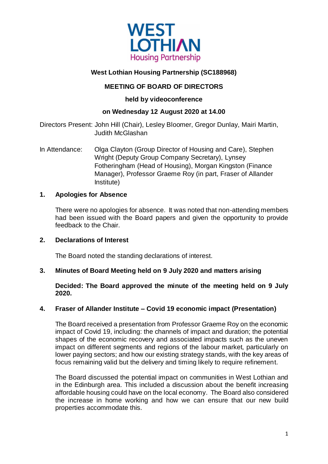

# **West Lothian Housing Partnership (SC188968)**

# **MEETING OF BOARD OF DIRECTORS**

# **held by videoconference**

# **on Wednesday 12 August 2020 at 14.00**

Directors Present: John Hill (Chair), Lesley Bloomer, Gregor Dunlay, Mairi Martin, Judith McGlashan

In Attendance: Olga Clayton (Group Director of Housing and Care), Stephen Wright (Deputy Group Company Secretary), Lynsey Fotheringham (Head of Housing), Morgan Kingston (Finance Manager), Professor Graeme Roy (in part, Fraser of Allander Institute)

## **1. Apologies for Absence**

There were no apologies for absence. It was noted that non-attending members had been issued with the Board papers and given the opportunity to provide feedback to the Chair.

## **2. Declarations of Interest**

The Board noted the standing declarations of interest.

# **3. Minutes of Board Meeting held on 9 July 2020 and matters arising**

**Decided: The Board approved the minute of the meeting held on 9 July 2020.**

## **4. Fraser of Allander Institute – Covid 19 economic impact (Presentation)**

The Board received a presentation from Professor Graeme Roy on the economic impact of Covid 19, including: the channels of impact and duration; the potential shapes of the economic recovery and associated impacts such as the uneven impact on different segments and regions of the labour market, particularly on lower paying sectors; and how our existing strategy stands, with the key areas of focus remaining valid but the delivery and timing likely to require refinement.

The Board discussed the potential impact on communities in West Lothian and in the Edinburgh area. This included a discussion about the benefit increasing affordable housing could have on the local economy. The Board also considered the increase in home working and how we can ensure that our new build properties accommodate this.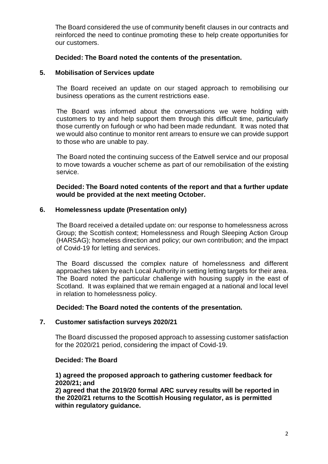The Board considered the use of community benefit clauses in our contracts and reinforced the need to continue promoting these to help create opportunities for our customers.

#### **Decided: The Board noted the contents of the presentation.**

#### **5. Mobilisation of Services update**

The Board received an update on our staged approach to remobilising our business operations as the current restrictions ease.

The Board was informed about the conversations we were holding with customers to try and help support them through this difficult time, particularly those currently on furlough or who had been made redundant. It was noted that we would also continue to monitor rent arrears to ensure we can provide support to those who are unable to pay.

The Board noted the continuing success of the Eatwell service and our proposal to move towards a voucher scheme as part of our remobilisation of the existing service.

**Decided: The Board noted contents of the report and that a further update would be provided at the next meeting October.**

#### **6. Homelessness update (Presentation only)**

The Board received a detailed update on: our response to homelessness across Group; the Scottish context; Homelessness and Rough Sleeping Action Group (HARSAG); homeless direction and policy; our own contribution; and the impact of Covid-19 for letting and services.

The Board discussed the complex nature of homelessness and different approaches taken by each Local Authority in setting letting targets for their area. The Board noted the particular challenge with housing supply in the east of Scotland. It was explained that we remain engaged at a national and local level in relation to homelessness policy.

 **Decided: The Board noted the contents of the presentation.**

#### **7. Customer satisfaction surveys 2020/21**

The Board discussed the proposed approach to assessing customer satisfaction for the 2020/21 period, considering the impact of Covid-19.

#### **Decided: The Board**

## **1) agreed the proposed approach to gathering customer feedback for 2020/21; and**

**2) agreed that the 2019/20 formal ARC survey results will be reported in the 2020/21 returns to the Scottish Housing regulator, as is permitted within regulatory guidance.**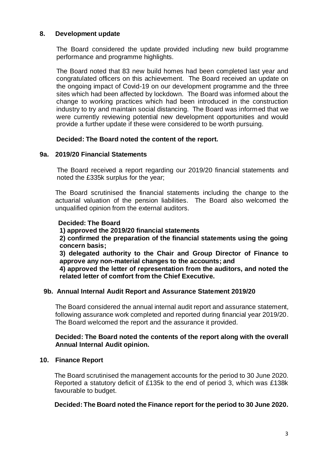## **8. Development update**

The Board considered the update provided including new build programme performance and programme highlights.

The Board noted that 83 new build homes had been completed last year and congratulated officers on this achievement. The Board received an update on the ongoing impact of Covid-19 on our development programme and the three sites which had been affected by lockdown. The Board was informed about the change to working practices which had been introduced in the construction industry to try and maintain social distancing. The Board was informed that we were currently reviewing potential new development opportunities and would provide a further update if these were considered to be worth pursuing.

## **Decided: The Board noted the content of the report.**

## **9a. 2019/20 Financial Statements**

The Board received a report regarding our 2019/20 financial statements and noted the £335k surplus for the year;

The Board scrutinised the financial statements including the change to the actuarial valuation of the pension liabilities. The Board also welcomed the unqualified opinion from the external auditors.

#### **Decided: The Board**

#### **1) approved the 2019/20 financial statements**

**2) confirmed the preparation of the financial statements using the going concern basis;**

**3) delegated authority to the Chair and Group Director of Finance to approve any non-material changes to the accounts; and**

**4) approved the letter of representation from the auditors, and noted the related letter of comfort from the Chief Executive.**

#### **9b. Annual Internal Audit Report and Assurance Statement 2019/20**

The Board considered the annual internal audit report and assurance statement, following assurance work completed and reported during financial year 2019/20. The Board welcomed the report and the assurance it provided.

## **Decided: The Board noted the contents of the report along with the overall Annual Internal Audit opinion.**

## **10. Finance Report**

The Board scrutinised the management accounts for the period to 30 June 2020. Reported a statutory deficit of £135k to the end of period 3, which was £138k favourable to budget.

## **Decided: The Board noted the Finance report for the period to 30 June 2020.**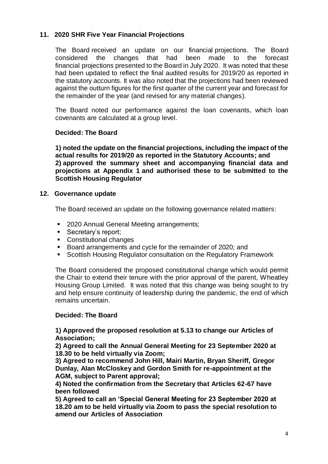# **11. 2020 SHR Five Year Financial Projections**

The Board received an update on our financial projections. The Board considered the changes that had been made to the forecast financial projections presented to the Board in July 2020. It was noted that these had been updated to reflect the final audited results for 2019/20 as reported in the statutory accounts. It was also noted that the projections had been reviewed against the outturn figures for the first quarter of the current year and forecast for the remainder of the year (and revised for any material changes).

The Board noted our performance against the loan covenants, which loan covenants are calculated at a group level.

# **Decided: The Board**

**1) noted the update on the financial projections, including the impact of the actual results for 2019/20 as reported in the Statutory Accounts; and 2) approved the summary sheet and accompanying financial data and projections at Appendix 1 and authorised these to be submitted to the Scottish Housing Regulator**

## **12. Governance update**

The Board received an update on the following governance related matters:

- **2020 Annual General Meeting arrangements;**
- Secretary's report;
- Constitutional changes
- Board arrangements and cycle for the remainder of 2020; and
- Scottish Housing Regulator consultation on the Regulatory Framework

The Board considered the proposed constitutional change which would permit the Chair to extend their tenure with the prior approval of the parent, Wheatley Housing Group Limited. It was noted that this change was being sought to try and help ensure continuity of leadership during the pandemic, the end of which remains uncertain.

# **Decided: The Board**

**1) Approved the proposed resolution at 5.13 to change our Articles of Association;**

**2) Agreed to call the Annual General Meeting for 23 September 2020 at 18.30 to be held virtually via Zoom;**

**3) Agreed to recommend John Hill, Mairi Martin, Bryan Sheriff, Gregor Dunlay, Alan McCloskey and Gordon Smith for re-appointment at the AGM, subject to Parent approval;**

**4) Noted the confirmation from the Secretary that Articles 62-67 have been followed**

**5) Agreed to call an 'Special General Meeting for 23 September 2020 at 18.20 am to be held virtually via Zoom to pass the special resolution to amend our Articles of Association**